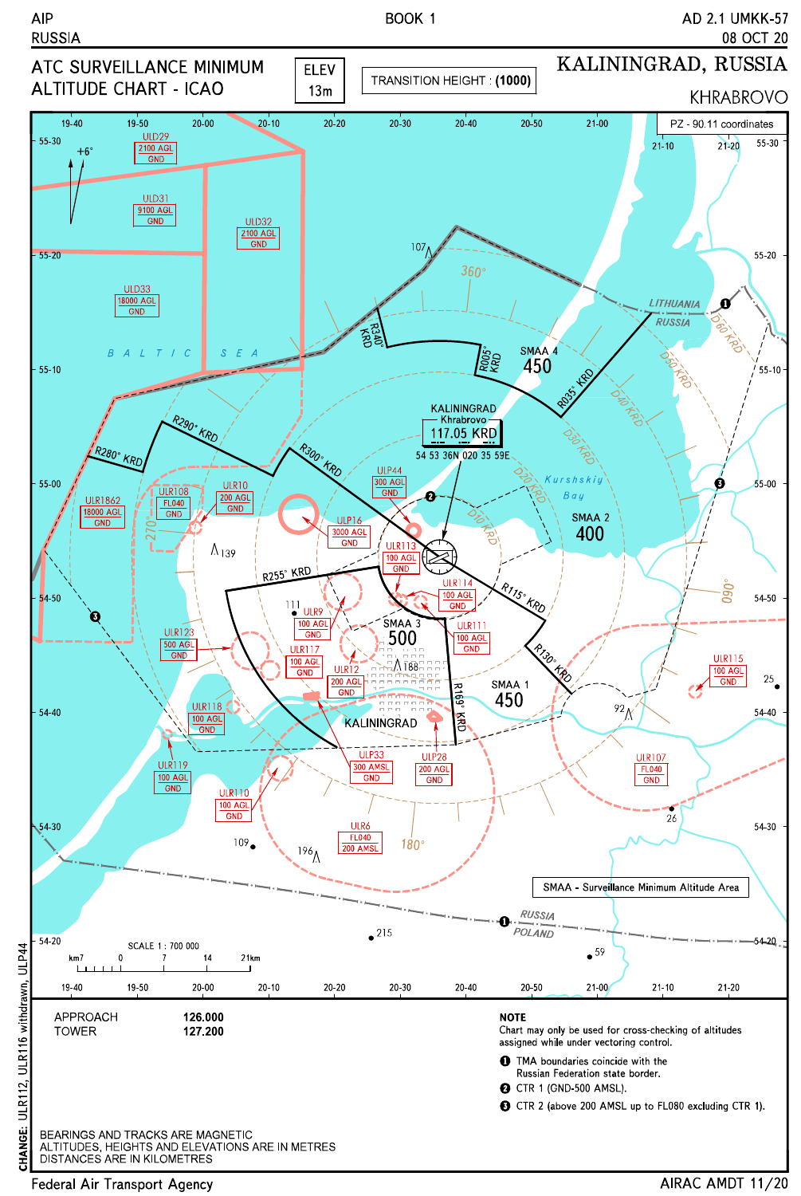